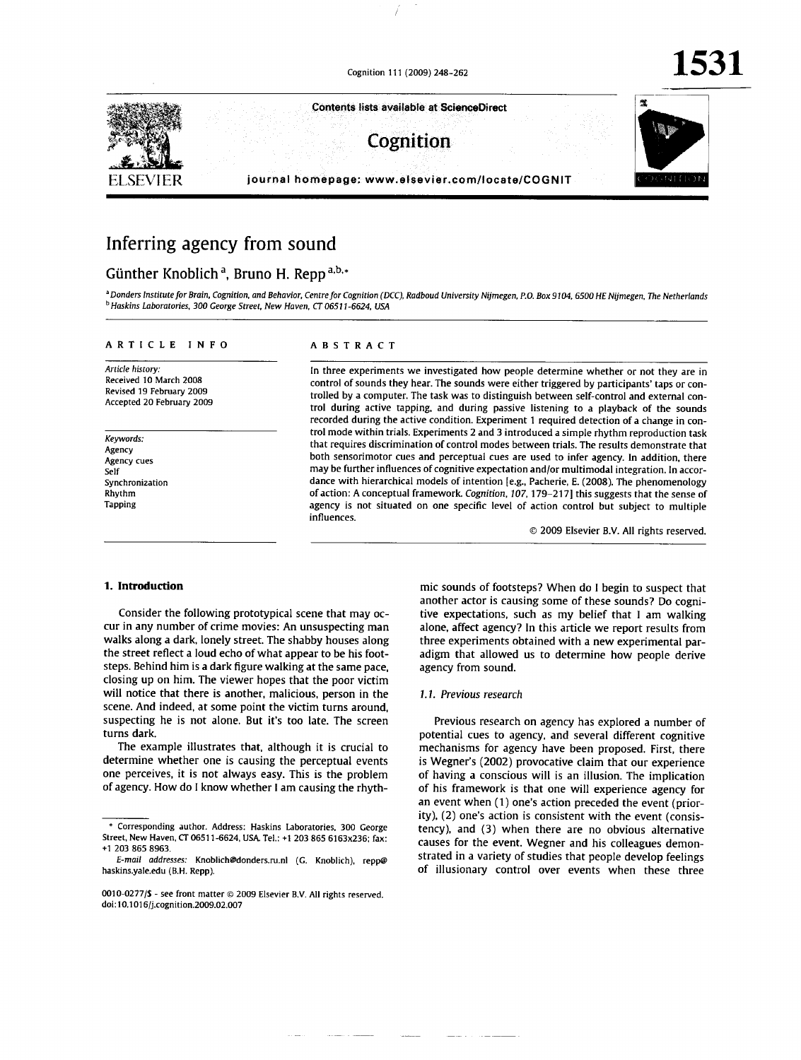Cognition 111 (2009) 248-262



# Inferring agency from sound

# Günther Knoblich<sup>a</sup>, Bruno H. Repp<sup>a,b,\*</sup>

<sup>a</sup> Donders Institute for Brain, Cognition, and Behavior, Centre for Cognition (DCC), Radboud University Nijmegen, P.O. Box 9104, 6500 HE Nijmegen, The Netherlands <sup>b</sup> Haskins Laboratories, 300 George Street, New Haven, CT 06511-6624, USA

# ARTICLE INFO

Article history: Received 10 March 2008 Revised 19 February 2009 Accepted 20 February 2009

Keywords: Agency Agency cues Self Synchronization Rhythm **Tapping** 

# ABSTRACT

In three experiments we investigated how people determine whether or not they are in control of sounds they hear. The sounds were either triggered by participants' taps or controlled by a computer. The task was to distinguish between self-control and external control during active tapping, and during passive listening to a playback of the sounds recorded during the active condition. Experiment 1 required detection of a change in control mode within trials. Experiments 2 and 3 introduced a simple rhythm reproduction task that requires discrimination of control modes between trials. The results demonstrate that both sensorimotor cues and perceptual cues are used to infer agency. In addition, there may be further influences of cognitive expectation and/or multimodal integration. In accordance with hierarchical models of intention [e.g., Pacherie, E. (2008). The phenomenology of action: A conceptual framework. Cognition, 107, 179-217] this suggests that the sense of agency is not situated on one specific level of action control but subject to multiple influences.

© 2009 Elsevier B.V. All rights reserved.

1531

#### 1. Introduction

Consider the following prototypical scene that may occur in any number of crime movies: An unsuspecting man walks along a dark, lonely street. The shabby houses along the street reflect a loud echo of what appear to be his footsteps. Behind him is a dark figure walking at the same pace, closing up on him. The viewer hopes that the poor victim will notice that there is another, malicious, person in the scene. And indeed, at some point the victim turns around, suspecting he is not alone. But it's too late. The screen turns dark.

The example illustrates that, although it is crucial to determine whether one is causing the perceptual events one perceives, it is not always easy. This is the problem of agency. How do I know whether I am causing the rhythmic sounds of footsteps? When do I begin to suspect that another actor is causing some of these sounds? Do cognitive expectations, such as my belief that I am walking alone, affect agency? In this article we report results from three experiments obtained with a new experimental paradigm that allowed us to determine how people derive agency from sound.

# 1.1. Previous research

Previous research on agency has explored a number of potential cues to agency, and several different cognitive mechanisms for agency have been proposed. First, there is Wegner's (2002) provocative claim that our experience of having a conscious will is an illusion. The implication of his framework is that one will experience agency for an event when (1) one's action preceded the event (priority), (2) one's action is consistent with the event (consistency), and (3) when there are no obvious alternative causes for the event. Wegner and his colleagues demonstrated in a variety of studies that people develop feelings of illusionary control over events when these three

<sup>\*</sup> Corresponding author. Address: Haskins Laboratories, 300 George Street, New Haven, CT 06511-6624, USA. Tel.: +1 203 865 6163x236; fax: +1 203 865 8963

E-mail addresses: Knoblich@donders.ru.nl (G. Knoblich), repp@ haskins.yale.edu (B.H. Repp).

<sup>0010-0277/\$ -</sup> see front matter © 2009 Elsevier B.V. All rights reserved. doi:10.1016/j.cognition.2009.02.007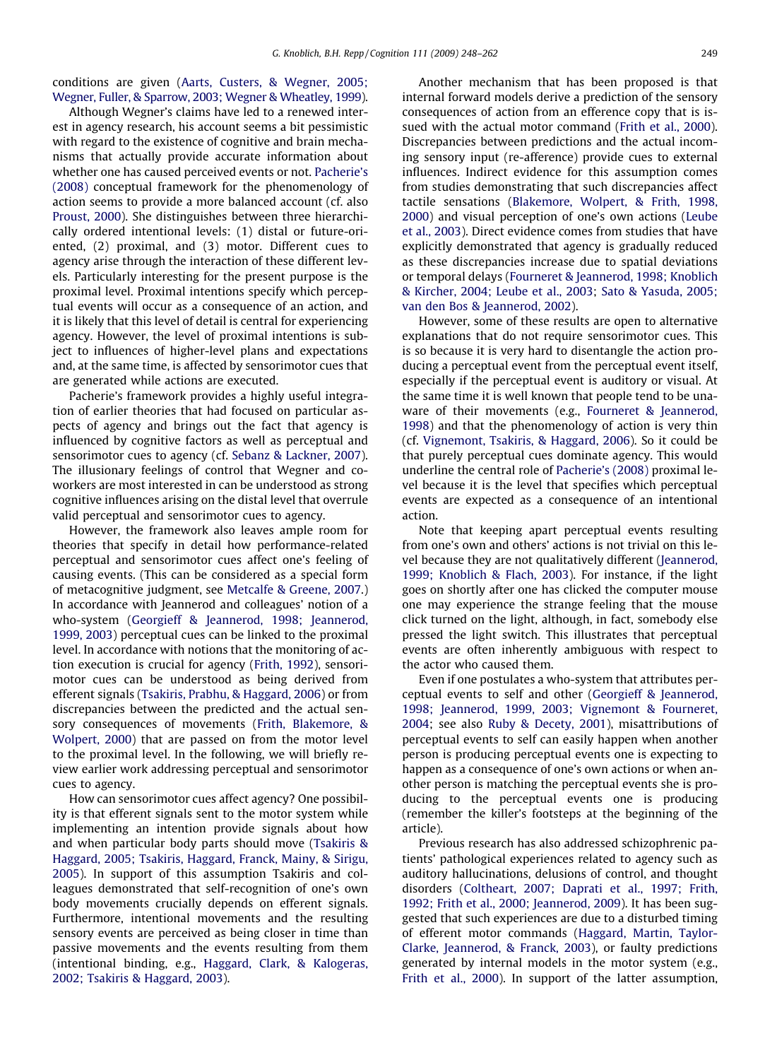conditions are given [\(Aarts, Custers, & Wegner, 2005;](#page-13-0) [Wegner, Fuller, & Sparrow, 2003; Wegner & Wheatley, 1999](#page-13-0)).

Although Wegner's claims have led to a renewed interest in agency research, his account seems a bit pessimistic with regard to the existence of cognitive and brain mechanisms that actually provide accurate information about whether one has caused perceived events or not. [Pacherie's](#page-14-0) [\(2008\)](#page-14-0) conceptual framework for the phenomenology of action seems to provide a more balanced account (cf. also [Proust, 2000\)](#page-14-0). She distinguishes between three hierarchically ordered intentional levels: (1) distal or future-oriented, (2) proximal, and (3) motor. Different cues to agency arise through the interaction of these different levels. Particularly interesting for the present purpose is the proximal level. Proximal intentions specify which perceptual events will occur as a consequence of an action, and it is likely that this level of detail is central for experiencing agency. However, the level of proximal intentions is subject to influences of higher-level plans and expectations and, at the same time, is affected by sensorimotor cues that are generated while actions are executed.

Pacherie's framework provides a highly useful integration of earlier theories that had focused on particular aspects of agency and brings out the fact that agency is influenced by cognitive factors as well as perceptual and sensorimotor cues to agency (cf. [Sebanz & Lackner, 2007](#page-14-0)). The illusionary feelings of control that Wegner and coworkers are most interested in can be understood as strong cognitive influences arising on the distal level that overrule valid perceptual and sensorimotor cues to agency.

However, the framework also leaves ample room for theories that specify in detail how performance-related perceptual and sensorimotor cues affect one's feeling of causing events. (This can be considered as a special form of metacognitive judgment, see [Metcalfe & Greene, 2007](#page-14-0).) In accordance with Jeannerod and colleagues' notion of a who-system [\(Georgieff & Jeannerod, 1998; Jeannerod,](#page-14-0) [1999, 2003](#page-14-0)) perceptual cues can be linked to the proximal level. In accordance with notions that the monitoring of action execution is crucial for agency [\(Frith, 1992\)](#page-13-0), sensorimotor cues can be understood as being derived from efferent signals [\(Tsakiris, Prabhu, & Haggard, 2006\)](#page-14-0) or from discrepancies between the predicted and the actual sensory consequences of movements [\(Frith, Blakemore, &](#page-14-0) [Wolpert, 2000](#page-14-0)) that are passed on from the motor level to the proximal level. In the following, we will briefly review earlier work addressing perceptual and sensorimotor cues to agency.

How can sensorimotor cues affect agency? One possibility is that efferent signals sent to the motor system while implementing an intention provide signals about how and when particular body parts should move ([Tsakiris &](#page-14-0) [Haggard, 2005; Tsakiris, Haggard, Franck, Mainy, & Sirigu,](#page-14-0) [2005\)](#page-14-0). In support of this assumption Tsakiris and colleagues demonstrated that self-recognition of one's own body movements crucially depends on efferent signals. Furthermore, intentional movements and the resulting sensory events are perceived as being closer in time than passive movements and the events resulting from them (intentional binding, e.g., [Haggard, Clark, & Kalogeras,](#page-14-0) [2002; Tsakiris & Haggard, 2003](#page-14-0)).

Another mechanism that has been proposed is that internal forward models derive a prediction of the sensory consequences of action from an efference copy that is issued with the actual motor command [\(Frith et al., 2000](#page-14-0)). Discrepancies between predictions and the actual incoming sensory input (re-afference) provide cues to external influences. Indirect evidence for this assumption comes from studies demonstrating that such discrepancies affect tactile sensations [\(Blakemore, Wolpert, & Frith, 1998,](#page-13-0) [2000\)](#page-13-0) and visual perception of one's own actions ([Leube](#page-14-0) [et al., 2003](#page-14-0)). Direct evidence comes from studies that have explicitly demonstrated that agency is gradually reduced as these discrepancies increase due to spatial deviations or temporal delays [\(Fourneret & Jeannerod, 1998; Knoblich](#page-13-0) [& Kircher, 2004; Leube et al., 2003;](#page-13-0) Sato & [Yasuda,](#page-14-0) 2005; [van den Bos & Jeannerod, 2002](#page-14-0)).

However, some of these results are open to alternative explanations that do not require sensorimotor cues. This is so because it is very hard to disentangle the action producing a perceptual event from the perceptual event itself, especially if the perceptual event is auditory or visual. At the same time it is well known that people tend to be unaware of their movements (e.g., [Fourneret & Jeannerod,](#page-13-0) [1998\)](#page-13-0) and that the phenomenology of action is very thin (cf. [Vignemont, Tsakiris, & Haggard, 2006\)](#page-14-0). So it could be that purely perceptual cues dominate agency. This would underline the central role of [Pacherie's \(2008\)](#page-14-0) proximal level because it is the level that specifies which perceptual events are expected as a consequence of an intentional action.

Note that keeping apart perceptual events resulting from one's own and others' actions is not trivial on this level because they are not qualitatively different [\(Jeannerod,](#page-14-0) [1999; Knoblich & Flach, 2003\)](#page-14-0). For instance, if the light goes on shortly after one has clicked the computer mouse one may experience the strange feeling that the mouse click turned on the light, although, in fact, somebody else pressed the light switch. This illustrates that perceptual events are often inherently ambiguous with respect to the actor who caused them.

Even if one postulates a who-system that attributes perceptual events to self and other [\(Georgieff & Jeannerod,](#page-14-0) [1998; Jeannerod, 1999, 2003; Vignemont & Fourneret,](#page-14-0) [2004;](#page-14-0) see also [Ruby & Decety, 2001](#page-14-0)), misattributions of perceptual events to self can easily happen when another person is producing perceptual events one is expecting to happen as a consequence of one's own actions or when another person is matching the perceptual events she is producing to the perceptual events one is producing (remember the killer's footsteps at the beginning of the article).

Previous research has also addressed schizophrenic patients' pathological experiences related to agency such as auditory hallucinations, delusions of control, and thought disorders [\(Coltheart, 2007; Daprati et al., 1997; Frith,](#page-13-0) [1992; Frith et al., 2000; Jeannerod, 2009](#page-13-0)). It has been suggested that such experiences are due to a disturbed timing of efferent motor commands [\(Haggard, Martin, Taylor-](#page-14-0)[Clarke, Jeannerod, & Franck, 2003](#page-14-0)), or faulty predictions generated by internal models in the motor system (e.g., [Frith et al., 2000\)](#page-14-0). In support of the latter assumption,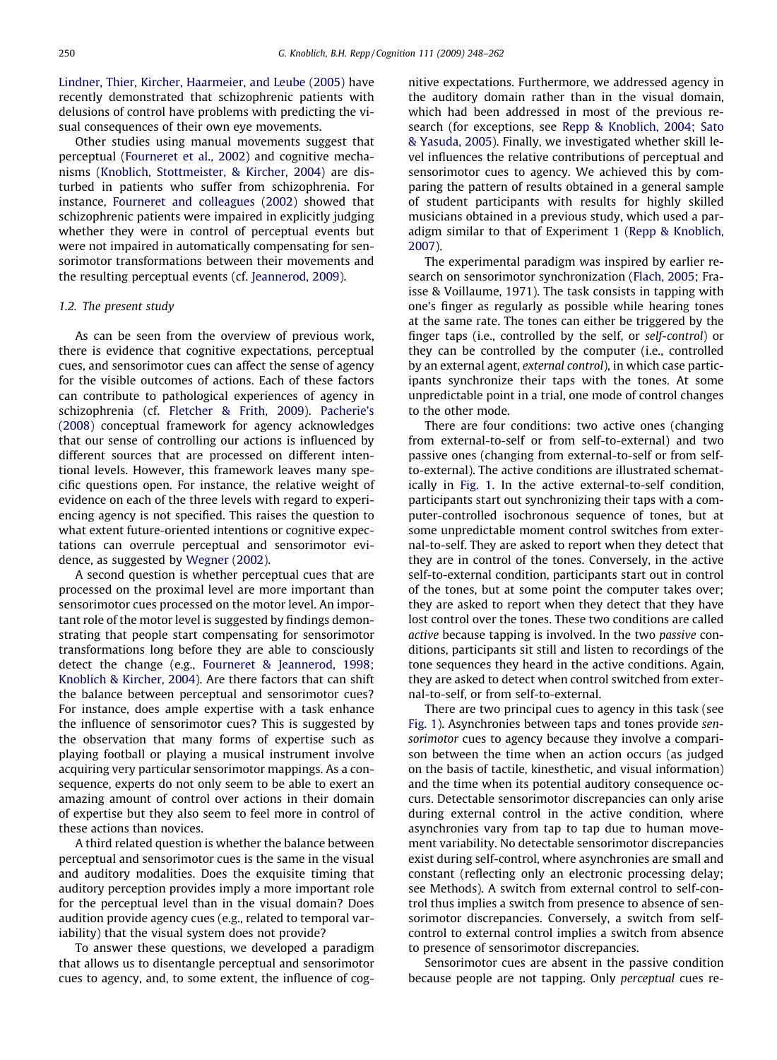[Lindner, Thier, Kircher, Haarmeier, and Leube \(2005\)](#page-14-0) have recently demonstrated that schizophrenic patients with delusions of control have problems with predicting the visual consequences of their own eye movements.

Other studies using manual movements suggest that perceptual ([Fourneret et al., 2002](#page-13-0)) and cognitive mechanisms ([Knoblich, Stottmeister, & Kircher, 2004\)](#page-14-0) are disturbed in patients who suffer from schizophrenia. For instance, [Fourneret and colleagues \(2002\)](#page-13-0) showed that schizophrenic patients were impaired in explicitly judging whether they were in control of perceptual events but were not impaired in automatically compensating for sensorimotor transformations between their movements and the resulting perceptual events (cf. [Jeannerod, 2009\)](#page-14-0).

# 1.2. The present study

As can be seen from the overview of previous work, there is evidence that cognitive expectations, perceptual cues, and sensorimotor cues can affect the sense of agency for the visible outcomes of actions. Each of these factors can contribute to pathological experiences of agency in schizophrenia (cf. [Fletcher & Frith, 2009](#page-13-0)). [Pacherie's](#page-14-0) [\(2008\)](#page-14-0) conceptual framework for agency acknowledges that our sense of controlling our actions is influenced by different sources that are processed on different intentional levels. However, this framework leaves many specific questions open. For instance, the relative weight of evidence on each of the three levels with regard to experiencing agency is not specified. This raises the question to what extent future-oriented intentions or cognitive expectations can overrule perceptual and sensorimotor evidence, as suggested by [Wegner \(2002\).](#page-14-0)

A second question is whether perceptual cues that are processed on the proximal level are more important than sensorimotor cues processed on the motor level. An important role of the motor level is suggested by findings demonstrating that people start compensating for sensorimotor transformations long before they are able to consciously detect the change (e.g., [Fourneret & Jeannerod, 1998;](#page-13-0) [Knoblich & Kircher, 2004\)](#page-13-0). Are there factors that can shift the balance between perceptual and sensorimotor cues? For instance, does ample expertise with a task enhance the influence of sensorimotor cues? This is suggested by the observation that many forms of expertise such as playing football or playing a musical instrument involve acquiring very particular sensorimotor mappings. As a consequence, experts do not only seem to be able to exert an amazing amount of control over actions in their domain of expertise but they also seem to feel more in control of these actions than novices.

A third related question is whether the balance between perceptual and sensorimotor cues is the same in the visual and auditory modalities. Does the exquisite timing that auditory perception provides imply a more important role for the perceptual level than in the visual domain? Does audition provide agency cues (e.g., related to temporal variability) that the visual system does not provide?

To answer these questions, we developed a paradigm that allows us to disentangle perceptual and sensorimotor cues to agency, and, to some extent, the influence of cog-

nitive expectations. Furthermore, we addressed agency in the auditory domain rather than in the visual domain, which had been addressed in most of the previous research (for exceptions, see [Repp & Knoblich, 2004; Sato](#page-14-0) [& Yasuda, 2005\)](#page-14-0). Finally, we investigated whether skill level influences the relative contributions of perceptual and sensorimotor cues to agency. We achieved this by comparing the pattern of results obtained in a general sample of student participants with results for highly skilled musicians obtained in a previous study, which used a paradigm similar to that of Experiment 1 ([Repp & Knoblich,](#page-14-0) [2007](#page-14-0)).

The experimental paradigm was inspired by earlier research on sensorimotor synchronization ([Flach, 2005;](#page-13-0) Fraisse & Voillaume, 1971). The task consists in tapping with one's finger as regularly as possible while hearing tones at the same rate. The tones can either be triggered by the finger taps (i.e., controlled by the self, or self-control) or they can be controlled by the computer (i.e., controlled by an external agent, external control), in which case participants synchronize their taps with the tones. At some unpredictable point in a trial, one mode of control changes to the other mode.

There are four conditions: two active ones (changing from external-to-self or from self-to-external) and two passive ones (changing from external-to-self or from selfto-external). The active conditions are illustrated schematically in [Fig. 1.](#page-3-0) In the active external-to-self condition, participants start out synchronizing their taps with a computer-controlled isochronous sequence of tones, but at some unpredictable moment control switches from external-to-self. They are asked to report when they detect that they are in control of the tones. Conversely, in the active self-to-external condition, participants start out in control of the tones, but at some point the computer takes over; they are asked to report when they detect that they have lost control over the tones. These two conditions are called active because tapping is involved. In the two passive conditions, participants sit still and listen to recordings of the tone sequences they heard in the active conditions. Again, they are asked to detect when control switched from external-to-self, or from self-to-external.

There are two principal cues to agency in this task (see [Fig. 1\)](#page-3-0). Asynchronies between taps and tones provide sensorimotor cues to agency because they involve a comparison between the time when an action occurs (as judged on the basis of tactile, kinesthetic, and visual information) and the time when its potential auditory consequence occurs. Detectable sensorimotor discrepancies can only arise during external control in the active condition, where asynchronies vary from tap to tap due to human movement variability. No detectable sensorimotor discrepancies exist during self-control, where asynchronies are small and constant (reflecting only an electronic processing delay; see Methods). A switch from external control to self-control thus implies a switch from presence to absence of sensorimotor discrepancies. Conversely, a switch from selfcontrol to external control implies a switch from absence to presence of sensorimotor discrepancies.

Sensorimotor cues are absent in the passive condition because people are not tapping. Only perceptual cues re-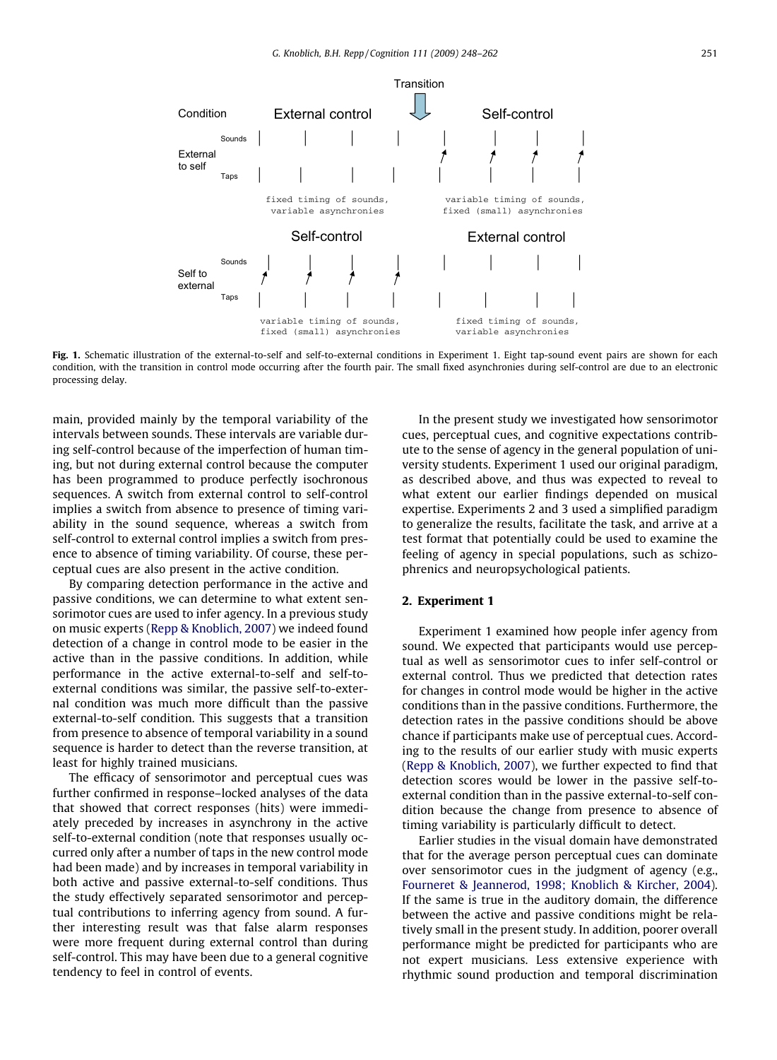<span id="page-3-0"></span>

Fig. 1. Schematic illustration of the external-to-self and self-to-external conditions in Experiment 1. Eight tap-sound event pairs are shown for each condition, with the transition in control mode occurring after the fourth pair. The small fixed asynchronies during self-control are due to an electronic processing delay.

main, provided mainly by the temporal variability of the intervals between sounds. These intervals are variable during self-control because of the imperfection of human timing, but not during external control because the computer has been programmed to produce perfectly isochronous sequences. A switch from external control to self-control implies a switch from absence to presence of timing variability in the sound sequence, whereas a switch from self-control to external control implies a switch from presence to absence of timing variability. Of course, these perceptual cues are also present in the active condition.

By comparing detection performance in the active and passive conditions, we can determine to what extent sensorimotor cues are used to infer agency. In a previous study on music experts ([Repp & Knoblich, 2007](#page-14-0)) we indeed found detection of a change in control mode to be easier in the active than in the passive conditions. In addition, while performance in the active external-to-self and self-toexternal conditions was similar, the passive self-to-external condition was much more difficult than the passive external-to-self condition. This suggests that a transition from presence to absence of temporal variability in a sound sequence is harder to detect than the reverse transition, at least for highly trained musicians.

The efficacy of sensorimotor and perceptual cues was further confirmed in response–locked analyses of the data that showed that correct responses (hits) were immediately preceded by increases in asynchrony in the active self-to-external condition (note that responses usually occurred only after a number of taps in the new control mode had been made) and by increases in temporal variability in both active and passive external-to-self conditions. Thus the study effectively separated sensorimotor and perceptual contributions to inferring agency from sound. A further interesting result was that false alarm responses were more frequent during external control than during self-control. This may have been due to a general cognitive tendency to feel in control of events.

In the present study we investigated how sensorimotor cues, perceptual cues, and cognitive expectations contribute to the sense of agency in the general population of university students. Experiment 1 used our original paradigm, as described above, and thus was expected to reveal to what extent our earlier findings depended on musical expertise. Experiments 2 and 3 used a simplified paradigm to generalize the results, facilitate the task, and arrive at a test format that potentially could be used to examine the feeling of agency in special populations, such as schizophrenics and neuropsychological patients.

# 2. Experiment 1

Experiment 1 examined how people infer agency from sound. We expected that participants would use perceptual as well as sensorimotor cues to infer self-control or external control. Thus we predicted that detection rates for changes in control mode would be higher in the active conditions than in the passive conditions. Furthermore, the detection rates in the passive conditions should be above chance if participants make use of perceptual cues. According to the results of our earlier study with music experts [\(Repp & Knoblich, 2007](#page-14-0)), we further expected to find that detection scores would be lower in the passive self-toexternal condition than in the passive external-to-self condition because the change from presence to absence of timing variability is particularly difficult to detect.

Earlier studies in the visual domain have demonstrated that for the average person perceptual cues can dominate over sensorimotor cues in the judgment of agency (e.g., [Fourneret & Jeannerod, 1998; Knoblich & Kircher, 2004](#page-13-0)). If the same is true in the auditory domain, the difference between the active and passive conditions might be relatively small in the present study. In addition, poorer overall performance might be predicted for participants who are not expert musicians. Less extensive experience with rhythmic sound production and temporal discrimination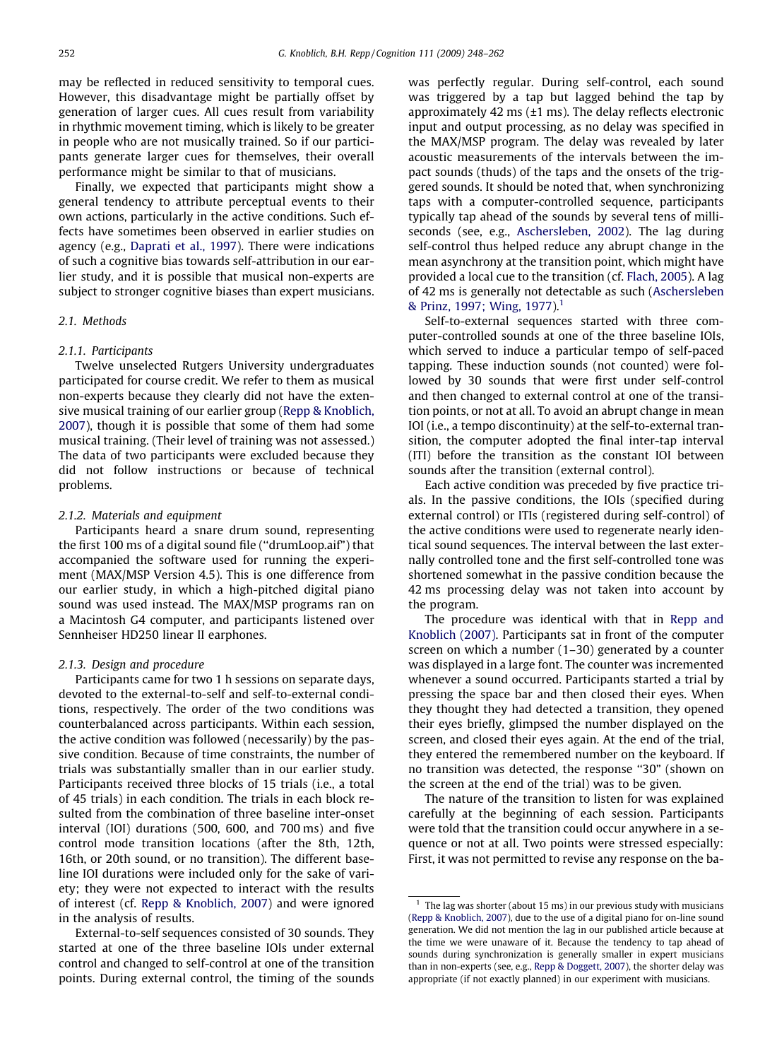may be reflected in reduced sensitivity to temporal cues. However, this disadvantage might be partially offset by generation of larger cues. All cues result from variability in rhythmic movement timing, which is likely to be greater in people who are not musically trained. So if our participants generate larger cues for themselves, their overall performance might be similar to that of musicians.

Finally, we expected that participants might show a general tendency to attribute perceptual events to their own actions, particularly in the active conditions. Such effects have sometimes been observed in earlier studies on agency (e.g., [Daprati et al., 1997](#page-13-0)). There were indications of such a cognitive bias towards self-attribution in our earlier study, and it is possible that musical non-experts are subject to stronger cognitive biases than expert musicians.

# 2.1. Methods

# 2.1.1. Participants

Twelve unselected Rutgers University undergraduates participated for course credit. We refer to them as musical non-experts because they clearly did not have the extensive musical training of our earlier group [\(Repp & Knoblich,](#page-14-0) [2007](#page-14-0)), though it is possible that some of them had some musical training. (Their level of training was not assessed.) The data of two participants were excluded because they did not follow instructions or because of technical problems.

# 2.1.2. Materials and equipment

Participants heard a snare drum sound, representing the first 100 ms of a digital sound file (''drumLoop.aif") that accompanied the software used for running the experiment (MAX/MSP Version 4.5). This is one difference from our earlier study, in which a high-pitched digital piano sound was used instead. The MAX/MSP programs ran on a Macintosh G4 computer, and participants listened over Sennheiser HD250 linear II earphones.

# 2.1.3. Design and procedure

Participants came for two 1 h sessions on separate days, devoted to the external-to-self and self-to-external conditions, respectively. The order of the two conditions was counterbalanced across participants. Within each session, the active condition was followed (necessarily) by the passive condition. Because of time constraints, the number of trials was substantially smaller than in our earlier study. Participants received three blocks of 15 trials (i.e., a total of 45 trials) in each condition. The trials in each block resulted from the combination of three baseline inter-onset interval (IOI) durations (500, 600, and 700 ms) and five control mode transition locations (after the 8th, 12th, 16th, or 20th sound, or no transition). The different baseline IOI durations were included only for the sake of variety; they were not expected to interact with the results of interest (cf. [Repp & Knoblich, 2007\)](#page-14-0) and were ignored in the analysis of results.

External-to-self sequences consisted of 30 sounds. They started at one of the three baseline IOIs under external control and changed to self-control at one of the transition points. During external control, the timing of the sounds

was perfectly regular. During self-control, each sound was triggered by a tap but lagged behind the tap by approximately 42 ms  $(\pm 1 \text{ ms})$ . The delay reflects electronic input and output processing, as no delay was specified in the MAX/MSP program. The delay was revealed by later acoustic measurements of the intervals between the impact sounds (thuds) of the taps and the onsets of the triggered sounds. It should be noted that, when synchronizing taps with a computer-controlled sequence, participants typically tap ahead of the sounds by several tens of milliseconds (see, e.g., [Aschersleben, 2002\)](#page-13-0). The lag during self-control thus helped reduce any abrupt change in the mean asynchrony at the transition point, which might have provided a local cue to the transition (cf. [Flach, 2005\)](#page-13-0). A lag of 42 ms is generally not detectable as such ([Aschersleben](#page-13-0) [& Prinz, 1997; Wing, 1977](#page-13-0)).1

Self-to-external sequences started with three computer-controlled sounds at one of the three baseline IOIs, which served to induce a particular tempo of self-paced tapping. These induction sounds (not counted) were followed by 30 sounds that were first under self-control and then changed to external control at one of the transition points, or not at all. To avoid an abrupt change in mean IOI (i.e., a tempo discontinuity) at the self-to-external transition, the computer adopted the final inter-tap interval (ITI) before the transition as the constant IOI between sounds after the transition (external control).

Each active condition was preceded by five practice trials. In the passive conditions, the IOIs (specified during external control) or ITIs (registered during self-control) of the active conditions were used to regenerate nearly identical sound sequences. The interval between the last externally controlled tone and the first self-controlled tone was shortened somewhat in the passive condition because the 42 ms processing delay was not taken into account by the program.

The procedure was identical with that in [Repp and](#page-14-0) [Knoblich \(2007\)](#page-14-0). Participants sat in front of the computer screen on which a number (1–30) generated by a counter was displayed in a large font. The counter was incremented whenever a sound occurred. Participants started a trial by pressing the space bar and then closed their eyes. When they thought they had detected a transition, they opened their eyes briefly, glimpsed the number displayed on the screen, and closed their eyes again. At the end of the trial, they entered the remembered number on the keyboard. If no transition was detected, the response ''30" (shown on the screen at the end of the trial) was to be given.

The nature of the transition to listen for was explained carefully at the beginning of each session. Participants were told that the transition could occur anywhere in a sequence or not at all. Two points were stressed especially: First, it was not permitted to revise any response on the ba-

<sup>&</sup>lt;sup>1</sup> The lag was shorter (about 15 ms) in our previous study with musicians ([Repp & Knoblich, 2007\)](#page-14-0), due to the use of a digital piano for on-line sound generation. We did not mention the lag in our published article because at the time we were unaware of it. Because the tendency to tap ahead of sounds during synchronization is generally smaller in expert musicians than in non-experts (see, e.g., [Repp & Doggett, 2007](#page-14-0)), the shorter delay was appropriate (if not exactly planned) in our experiment with musicians.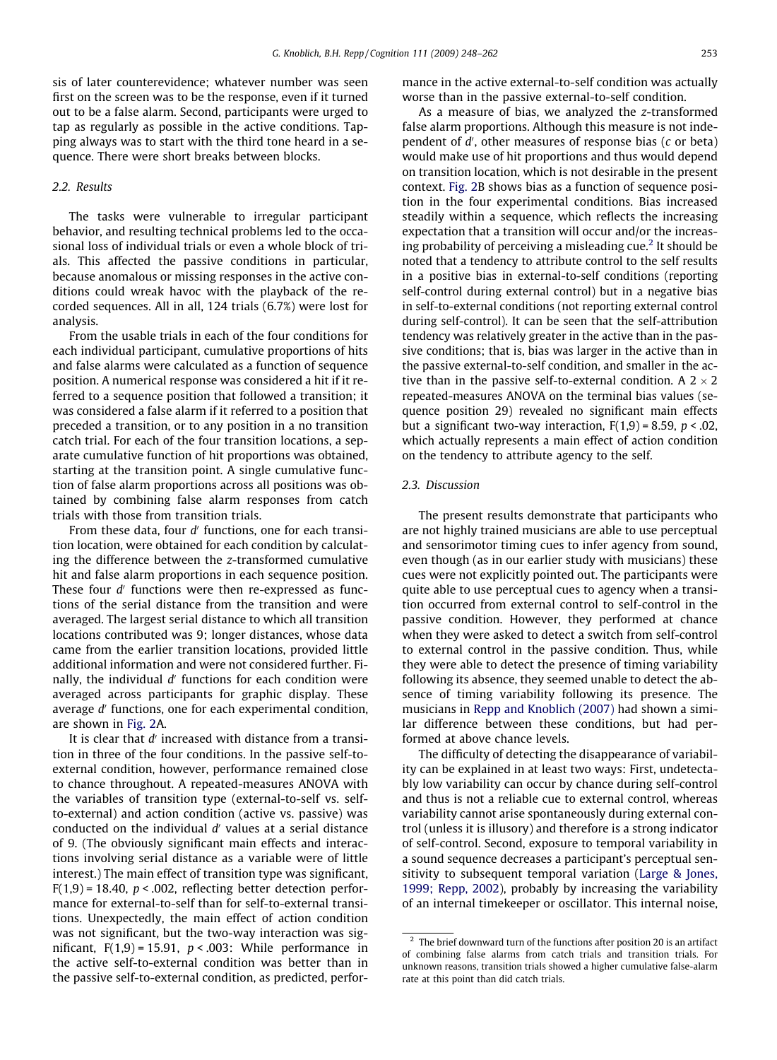sis of later counterevidence; whatever number was seen first on the screen was to be the response, even if it turned out to be a false alarm. Second, participants were urged to tap as regularly as possible in the active conditions. Tapping always was to start with the third tone heard in a sequence. There were short breaks between blocks.

# 2.2. Results

The tasks were vulnerable to irregular participant behavior, and resulting technical problems led to the occasional loss of individual trials or even a whole block of trials. This affected the passive conditions in particular, because anomalous or missing responses in the active conditions could wreak havoc with the playback of the recorded sequences. All in all, 124 trials (6.7%) were lost for analysis.

From the usable trials in each of the four conditions for each individual participant, cumulative proportions of hits and false alarms were calculated as a function of sequence position. A numerical response was considered a hit if it referred to a sequence position that followed a transition; it was considered a false alarm if it referred to a position that preceded a transition, or to any position in a no transition catch trial. For each of the four transition locations, a separate cumulative function of hit proportions was obtained, starting at the transition point. A single cumulative function of false alarm proportions across all positions was obtained by combining false alarm responses from catch trials with those from transition trials.

From these data, four  $d'$  functions, one for each transition location, were obtained for each condition by calculating the difference between the z-transformed cumulative hit and false alarm proportions in each sequence position. These four  $d'$  functions were then re-expressed as functions of the serial distance from the transition and were averaged. The largest serial distance to which all transition locations contributed was 9; longer distances, whose data came from the earlier transition locations, provided little additional information and were not considered further. Finally, the individual  $d'$  functions for each condition were averaged across participants for graphic display. These average  $d'$  functions, one for each experimental condition, are shown in [Fig. 2A](#page-6-0).

It is clear that  $d'$  increased with distance from a transition in three of the four conditions. In the passive self-toexternal condition, however, performance remained close to chance throughout. A repeated-measures ANOVA with the variables of transition type (external-to-self vs. selfto-external) and action condition (active vs. passive) was conducted on the individual  $d'$  values at a serial distance of 9. (The obviously significant main effects and interactions involving serial distance as a variable were of little interest.) The main effect of transition type was significant, F(1,9) = 18.40,  $p < .002$ , reflecting better detection performance for external-to-self than for self-to-external transitions. Unexpectedly, the main effect of action condition was not significant, but the two-way interaction was significant,  $F(1,9) = 15.91$ ,  $p < .003$ : While performance in the active self-to-external condition was better than in the passive self-to-external condition, as predicted, performance in the active external-to-self condition was actually worse than in the passive external-to-self condition.

As a measure of bias, we analyzed the z-transformed false alarm proportions. Although this measure is not independent of  $d'$ , other measures of response bias ( $c$  or beta) would make use of hit proportions and thus would depend on transition location, which is not desirable in the present context. [Fig. 2B](#page-6-0) shows bias as a function of sequence position in the four experimental conditions. Bias increased steadily within a sequence, which reflects the increasing expectation that a transition will occur and/or the increasing probability of perceiving a misleading cue.<sup>2</sup> It should be noted that a tendency to attribute control to the self results in a positive bias in external-to-self conditions (reporting self-control during external control) but in a negative bias in self-to-external conditions (not reporting external control during self-control). It can be seen that the self-attribution tendency was relatively greater in the active than in the passive conditions; that is, bias was larger in the active than in the passive external-to-self condition, and smaller in the active than in the passive self-to-external condition. A 2  $\times$  2 repeated-measures ANOVA on the terminal bias values (sequence position 29) revealed no significant main effects but a significant two-way interaction,  $F(1,9) = 8.59$ ,  $p < .02$ , which actually represents a main effect of action condition on the tendency to attribute agency to the self.

# 2.3. Discussion

The present results demonstrate that participants who are not highly trained musicians are able to use perceptual and sensorimotor timing cues to infer agency from sound, even though (as in our earlier study with musicians) these cues were not explicitly pointed out. The participants were quite able to use perceptual cues to agency when a transition occurred from external control to self-control in the passive condition. However, they performed at chance when they were asked to detect a switch from self-control to external control in the passive condition. Thus, while they were able to detect the presence of timing variability following its absence, they seemed unable to detect the absence of timing variability following its presence. The musicians in [Repp and Knoblich \(2007\)](#page-14-0) had shown a similar difference between these conditions, but had performed at above chance levels.

The difficulty of detecting the disappearance of variability can be explained in at least two ways: First, undetectably low variability can occur by chance during self-control and thus is not a reliable cue to external control, whereas variability cannot arise spontaneously during external control (unless it is illusory) and therefore is a strong indicator of self-control. Second, exposure to temporal variability in a sound sequence decreases a participant's perceptual sensitivity to subsequent temporal variation [\(Large & Jones,](#page-14-0) [1999; Repp, 2002](#page-14-0)), probably by increasing the variability of an internal timekeeper or oscillator. This internal noise,

The brief downward turn of the functions after position 20 is an artifact of combining false alarms from catch trials and transition trials. For unknown reasons, transition trials showed a higher cumulative false-alarm rate at this point than did catch trials.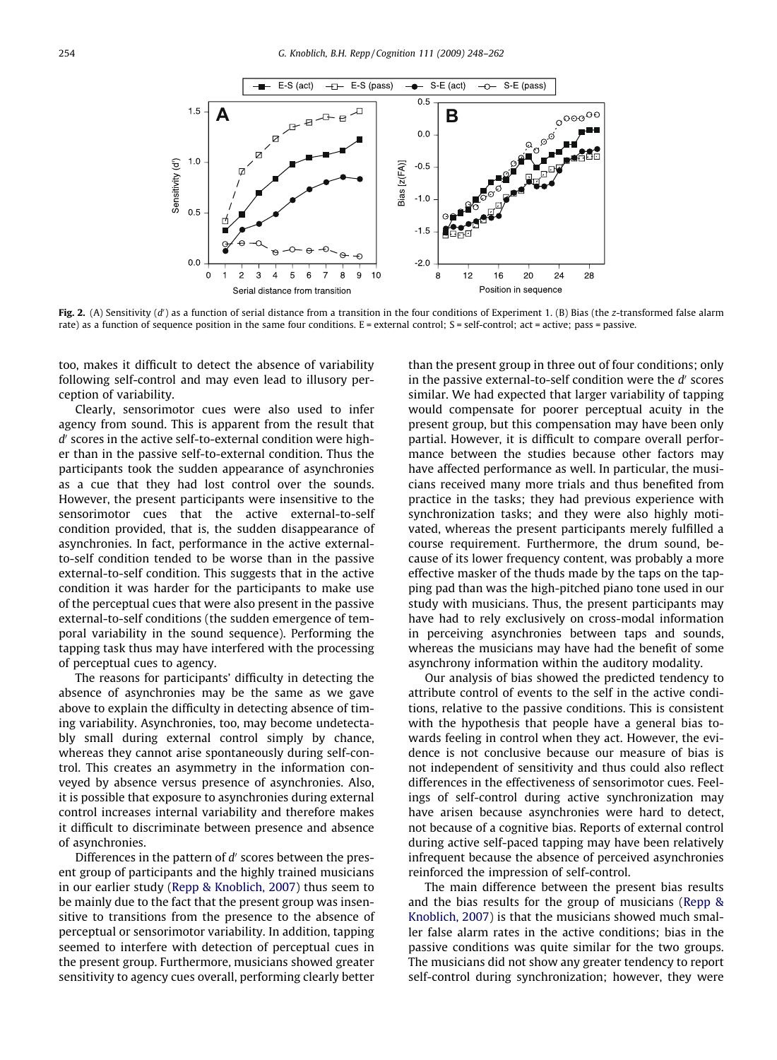<span id="page-6-0"></span>

Fig. 2. (A) Sensitivity (d') as a function of serial distance from a transition in the four conditions of Experiment 1. (B) Bias (the z-transformed false alarm rate) as a function of sequence position in the same four conditions. E = external control; S = self-control; act = active; pass = passive.

too, makes it difficult to detect the absence of variability following self-control and may even lead to illusory perception of variability.

Clearly, sensorimotor cues were also used to infer agency from sound. This is apparent from the result that  $d'$  scores in the active self-to-external condition were higher than in the passive self-to-external condition. Thus the participants took the sudden appearance of asynchronies as a cue that they had lost control over the sounds. However, the present participants were insensitive to the sensorimotor cues that the active external-to-self condition provided, that is, the sudden disappearance of asynchronies. In fact, performance in the active externalto-self condition tended to be worse than in the passive external-to-self condition. This suggests that in the active condition it was harder for the participants to make use of the perceptual cues that were also present in the passive external-to-self conditions (the sudden emergence of temporal variability in the sound sequence). Performing the tapping task thus may have interfered with the processing of perceptual cues to agency.

The reasons for participants' difficulty in detecting the absence of asynchronies may be the same as we gave above to explain the difficulty in detecting absence of timing variability. Asynchronies, too, may become undetectably small during external control simply by chance, whereas they cannot arise spontaneously during self-control. This creates an asymmetry in the information conveyed by absence versus presence of asynchronies. Also, it is possible that exposure to asynchronies during external control increases internal variability and therefore makes it difficult to discriminate between presence and absence of asynchronies.

Differences in the pattern of  $d'$  scores between the present group of participants and the highly trained musicians in our earlier study ([Repp & Knoblich, 2007](#page-14-0)) thus seem to be mainly due to the fact that the present group was insensitive to transitions from the presence to the absence of perceptual or sensorimotor variability. In addition, tapping seemed to interfere with detection of perceptual cues in the present group. Furthermore, musicians showed greater sensitivity to agency cues overall, performing clearly better than the present group in three out of four conditions; only in the passive external-to-self condition were the  $d'$  scores similar. We had expected that larger variability of tapping would compensate for poorer perceptual acuity in the present group, but this compensation may have been only partial. However, it is difficult to compare overall performance between the studies because other factors may have affected performance as well. In particular, the musicians received many more trials and thus benefited from practice in the tasks; they had previous experience with synchronization tasks; and they were also highly motivated, whereas the present participants merely fulfilled a course requirement. Furthermore, the drum sound, because of its lower frequency content, was probably a more effective masker of the thuds made by the taps on the tapping pad than was the high-pitched piano tone used in our study with musicians. Thus, the present participants may have had to rely exclusively on cross-modal information in perceiving asynchronies between taps and sounds, whereas the musicians may have had the benefit of some asynchrony information within the auditory modality.

Our analysis of bias showed the predicted tendency to attribute control of events to the self in the active conditions, relative to the passive conditions. This is consistent with the hypothesis that people have a general bias towards feeling in control when they act. However, the evidence is not conclusive because our measure of bias is not independent of sensitivity and thus could also reflect differences in the effectiveness of sensorimotor cues. Feelings of self-control during active synchronization may have arisen because asynchronies were hard to detect, not because of a cognitive bias. Reports of external control during active self-paced tapping may have been relatively infrequent because the absence of perceived asynchronies reinforced the impression of self-control.

The main difference between the present bias results and the bias results for the group of musicians [\(Repp &](#page-14-0) [Knoblich, 2007\)](#page-14-0) is that the musicians showed much smaller false alarm rates in the active conditions; bias in the passive conditions was quite similar for the two groups. The musicians did not show any greater tendency to report self-control during synchronization; however, they were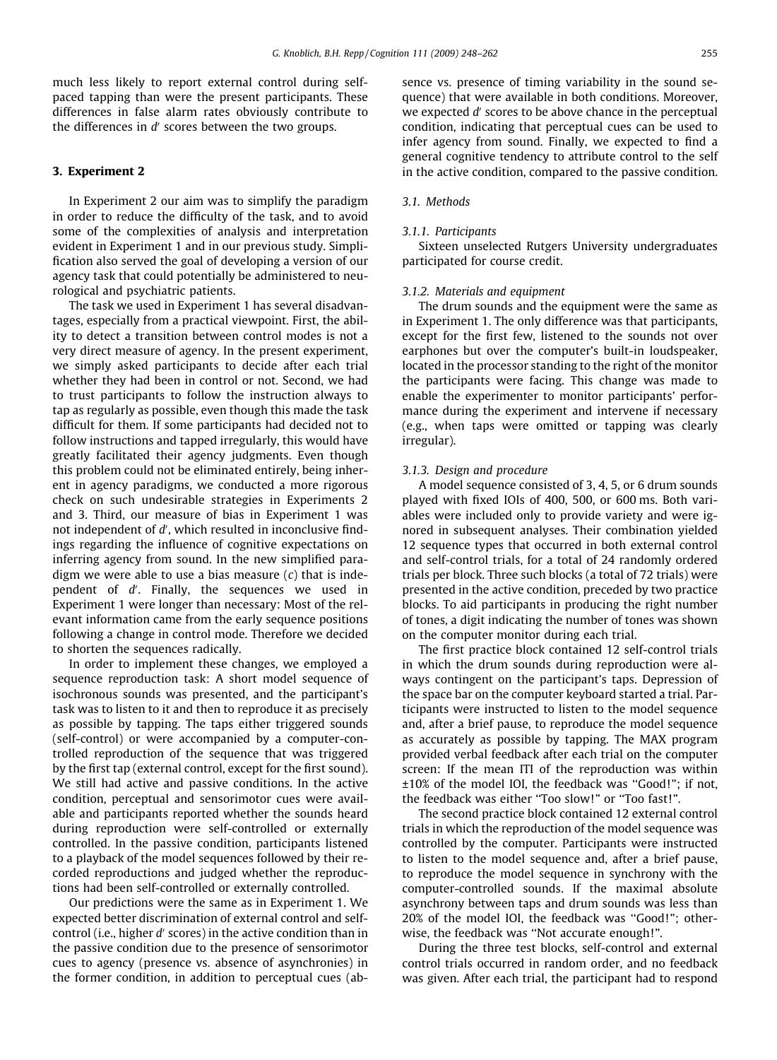much less likely to report external control during selfpaced tapping than were the present participants. These differences in false alarm rates obviously contribute to the differences in  $d'$  scores between the two groups.

#### 3. Experiment 2

In Experiment 2 our aim was to simplify the paradigm in order to reduce the difficulty of the task, and to avoid some of the complexities of analysis and interpretation evident in Experiment 1 and in our previous study. Simplification also served the goal of developing a version of our agency task that could potentially be administered to neurological and psychiatric patients.

The task we used in Experiment 1 has several disadvantages, especially from a practical viewpoint. First, the ability to detect a transition between control modes is not a very direct measure of agency. In the present experiment, we simply asked participants to decide after each trial whether they had been in control or not. Second, we had to trust participants to follow the instruction always to tap as regularly as possible, even though this made the task difficult for them. If some participants had decided not to follow instructions and tapped irregularly, this would have greatly facilitated their agency judgments. Even though this problem could not be eliminated entirely, being inherent in agency paradigms, we conducted a more rigorous check on such undesirable strategies in Experiments 2 and 3. Third, our measure of bias in Experiment 1 was not independent of  $d'$ , which resulted in inconclusive findings regarding the influence of cognitive expectations on inferring agency from sound. In the new simplified paradigm we were able to use a bias measure  $(c)$  that is independent of  $d'$ . Finally, the sequences we used in Experiment 1 were longer than necessary: Most of the relevant information came from the early sequence positions following a change in control mode. Therefore we decided to shorten the sequences radically.

In order to implement these changes, we employed a sequence reproduction task: A short model sequence of isochronous sounds was presented, and the participant's task was to listen to it and then to reproduce it as precisely as possible by tapping. The taps either triggered sounds (self-control) or were accompanied by a computer-controlled reproduction of the sequence that was triggered by the first tap (external control, except for the first sound). We still had active and passive conditions. In the active condition, perceptual and sensorimotor cues were available and participants reported whether the sounds heard during reproduction were self-controlled or externally controlled. In the passive condition, participants listened to a playback of the model sequences followed by their recorded reproductions and judged whether the reproductions had been self-controlled or externally controlled.

Our predictions were the same as in Experiment 1. We expected better discrimination of external control and selfcontrol (i.e., higher  $d'$  scores) in the active condition than in the passive condition due to the presence of sensorimotor cues to agency (presence vs. absence of asynchronies) in the former condition, in addition to perceptual cues (absence vs. presence of timing variability in the sound sequence) that were available in both conditions. Moreover, we expected  $d'$  scores to be above chance in the perceptual condition, indicating that perceptual cues can be used to infer agency from sound. Finally, we expected to find a general cognitive tendency to attribute control to the self in the active condition, compared to the passive condition.

# 3.1. Methods

#### 3.1.1. Participants

Sixteen unselected Rutgers University undergraduates participated for course credit.

## 3.1.2. Materials and equipment

The drum sounds and the equipment were the same as in Experiment 1. The only difference was that participants, except for the first few, listened to the sounds not over earphones but over the computer's built-in loudspeaker, located in the processor standing to the right of the monitor the participants were facing. This change was made to enable the experimenter to monitor participants' performance during the experiment and intervene if necessary (e.g., when taps were omitted or tapping was clearly irregular).

#### 3.1.3. Design and procedure

A model sequence consisted of 3, 4, 5, or 6 drum sounds played with fixed IOIs of 400, 500, or 600 ms. Both variables were included only to provide variety and were ignored in subsequent analyses. Their combination yielded 12 sequence types that occurred in both external control and self-control trials, for a total of 24 randomly ordered trials per block. Three such blocks (a total of 72 trials) were presented in the active condition, preceded by two practice blocks. To aid participants in producing the right number of tones, a digit indicating the number of tones was shown on the computer monitor during each trial.

The first practice block contained 12 self-control trials in which the drum sounds during reproduction were always contingent on the participant's taps. Depression of the space bar on the computer keyboard started a trial. Participants were instructed to listen to the model sequence and, after a brief pause, to reproduce the model sequence as accurately as possible by tapping. The MAX program provided verbal feedback after each trial on the computer screen: If the mean ITI of the reproduction was within ±10% of the model IOI, the feedback was ''Good!"; if not, the feedback was either ''Too slow!" or ''Too fast!".

The second practice block contained 12 external control trials in which the reproduction of the model sequence was controlled by the computer. Participants were instructed to listen to the model sequence and, after a brief pause, to reproduce the model sequence in synchrony with the computer-controlled sounds. If the maximal absolute asynchrony between taps and drum sounds was less than 20% of the model IOI, the feedback was ''Good!"; otherwise, the feedback was ''Not accurate enough!".

During the three test blocks, self-control and external control trials occurred in random order, and no feedback was given. After each trial, the participant had to respond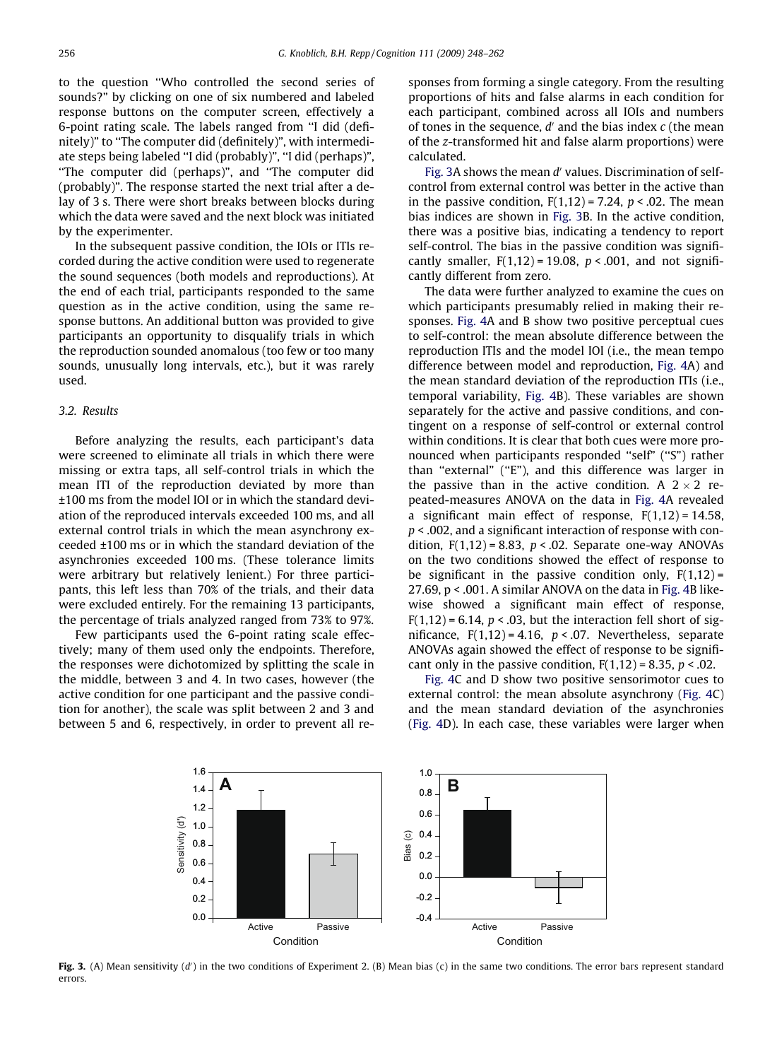<span id="page-8-0"></span>to the question ''Who controlled the second series of sounds?" by clicking on one of six numbered and labeled response buttons on the computer screen, effectively a 6-point rating scale. The labels ranged from ''I did (definitely)" to ''The computer did (definitely)", with intermediate steps being labeled ''I did (probably)", ''I did (perhaps)", ''The computer did (perhaps)", and ''The computer did (probably)". The response started the next trial after a delay of 3 s. There were short breaks between blocks during which the data were saved and the next block was initiated by the experimenter.

In the subsequent passive condition, the IOIs or ITIs recorded during the active condition were used to regenerate the sound sequences (both models and reproductions). At the end of each trial, participants responded to the same question as in the active condition, using the same response buttons. An additional button was provided to give participants an opportunity to disqualify trials in which the reproduction sounded anomalous (too few or too many sounds, unusually long intervals, etc.), but it was rarely used.

# 3.2. Results

Before analyzing the results, each participant's data were screened to eliminate all trials in which there were missing or extra taps, all self-control trials in which the mean ITI of the reproduction deviated by more than ±100 ms from the model IOI or in which the standard deviation of the reproduced intervals exceeded 100 ms, and all external control trials in which the mean asynchrony exceeded ±100 ms or in which the standard deviation of the asynchronies exceeded 100 ms. (These tolerance limits were arbitrary but relatively lenient.) For three participants, this left less than 70% of the trials, and their data were excluded entirely. For the remaining 13 participants, the percentage of trials analyzed ranged from 73% to 97%.

Few participants used the 6-point rating scale effectively; many of them used only the endpoints. Therefore, the responses were dichotomized by splitting the scale in the middle, between 3 and 4. In two cases, however (the active condition for one participant and the passive condition for another), the scale was split between 2 and 3 and between 5 and 6, respectively, in order to prevent all responses from forming a single category. From the resulting proportions of hits and false alarms in each condition for each participant, combined across all IOIs and numbers of tones in the sequence,  $d'$  and the bias index  $c$  (the mean of the z-transformed hit and false alarm proportions) were calculated.

Fig. 3A shows the mean d' values. Discrimination of selfcontrol from external control was better in the active than in the passive condition,  $F(1,12) = 7.24$ ,  $p < .02$ . The mean bias indices are shown in Fig. 3B. In the active condition, there was a positive bias, indicating a tendency to report self-control. The bias in the passive condition was significantly smaller,  $F(1,12) = 19.08$ ,  $p < .001$ , and not significantly different from zero.

The data were further analyzed to examine the cues on which participants presumably relied in making their responses. [Fig. 4](#page-9-0)A and B show two positive perceptual cues to self-control: the mean absolute difference between the reproduction ITIs and the model IOI (i.e., the mean tempo difference between model and reproduction, [Fig. 4A](#page-9-0)) and the mean standard deviation of the reproduction ITIs (i.e., temporal variability, [Fig. 4](#page-9-0)B). These variables are shown separately for the active and passive conditions, and contingent on a response of self-control or external control within conditions. It is clear that both cues were more pronounced when participants responded ''self" (''S") rather than ''external" (''E"), and this difference was larger in the passive than in the active condition. A  $2 \times 2$  repeated-measures ANOVA on the data in [Fig. 4A](#page-9-0) revealed a significant main effect of response,  $F(1,12) = 14.58$ , p < .002, and a significant interaction of response with condition,  $F(1,12) = 8.83$ ,  $p < .02$ . Separate one-way ANOVAs on the two conditions showed the effect of response to be significant in the passive condition only,  $F(1,12) =$ 27.69, p < .001. A similar ANOVA on the data in [Fig. 4](#page-9-0)B likewise showed a significant main effect of response,  $F(1,12) = 6.14$ ,  $p < .03$ , but the interaction fell short of significance,  $F(1,12) = 4.16$ ,  $p < .07$ . Nevertheless, separate ANOVAs again showed the effect of response to be significant only in the passive condition,  $F(1,12) = 8.35$ ,  $p < .02$ .

[Fig. 4C](#page-9-0) and D show two positive sensorimotor cues to external control: the mean absolute asynchrony [\(Fig. 4](#page-9-0)C) and the mean standard deviation of the asynchronies [\(Fig. 4D](#page-9-0)). In each case, these variables were larger when



Fig. 3. (A) Mean sensitivity (d') in the two conditions of Experiment 2. (B) Mean bias (c) in the same two conditions. The error bars represent standard errors.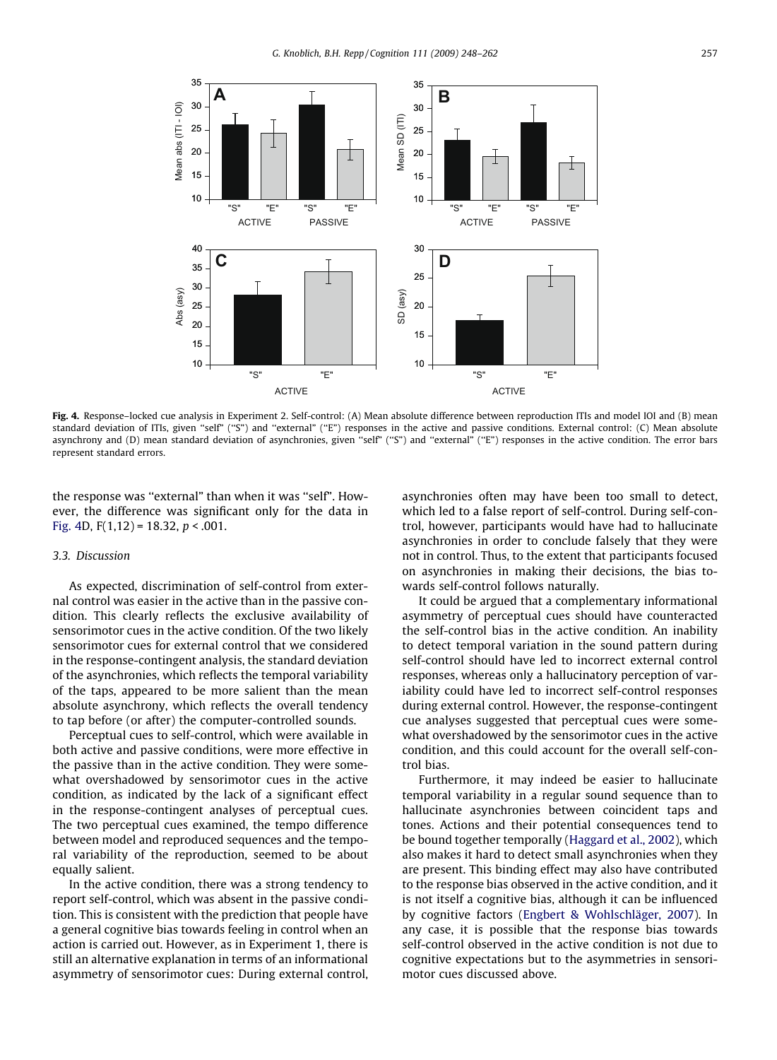<span id="page-9-0"></span>

Fig. 4. Response–locked cue analysis in Experiment 2. Self-control: (A) Mean absolute difference between reproduction ITIs and model IOI and (B) mean standard deviation of ITIs, given "self" ("S") and "external" ("E") responses in the active and passive conditions. External control: (C) Mean absolute asynchrony and (D) mean standard deviation of asynchronies, given "self" ("S") and "external" ("E") responses in the active condition. The error bars represent standard errors.

the response was ''external" than when it was ''self". However, the difference was significant only for the data in Fig. 4D,  $F(1,12) = 18.32$ ,  $p < .001$ .

# 3.3. Discussion

As expected, discrimination of self-control from external control was easier in the active than in the passive condition. This clearly reflects the exclusive availability of sensorimotor cues in the active condition. Of the two likely sensorimotor cues for external control that we considered in the response-contingent analysis, the standard deviation of the asynchronies, which reflects the temporal variability of the taps, appeared to be more salient than the mean absolute asynchrony, which reflects the overall tendency to tap before (or after) the computer-controlled sounds.

Perceptual cues to self-control, which were available in both active and passive conditions, were more effective in the passive than in the active condition. They were somewhat overshadowed by sensorimotor cues in the active condition, as indicated by the lack of a significant effect in the response-contingent analyses of perceptual cues. The two perceptual cues examined, the tempo difference between model and reproduced sequences and the temporal variability of the reproduction, seemed to be about equally salient.

In the active condition, there was a strong tendency to report self-control, which was absent in the passive condition. This is consistent with the prediction that people have a general cognitive bias towards feeling in control when an action is carried out. However, as in Experiment 1, there is still an alternative explanation in terms of an informational asymmetry of sensorimotor cues: During external control, asynchronies often may have been too small to detect, which led to a false report of self-control. During self-control, however, participants would have had to hallucinate asynchronies in order to conclude falsely that they were not in control. Thus, to the extent that participants focused on asynchronies in making their decisions, the bias towards self-control follows naturally.

It could be argued that a complementary informational asymmetry of perceptual cues should have counteracted the self-control bias in the active condition. An inability to detect temporal variation in the sound pattern during self-control should have led to incorrect external control responses, whereas only a hallucinatory perception of variability could have led to incorrect self-control responses during external control. However, the response-contingent cue analyses suggested that perceptual cues were somewhat overshadowed by the sensorimotor cues in the active condition, and this could account for the overall self-control bias.

Furthermore, it may indeed be easier to hallucinate temporal variability in a regular sound sequence than to hallucinate asynchronies between coincident taps and tones. Actions and their potential consequences tend to be bound together temporally [\(Haggard et al., 2002](#page-14-0)), which also makes it hard to detect small asynchronies when they are present. This binding effect may also have contributed to the response bias observed in the active condition, and it is not itself a cognitive bias, although it can be influenced by cognitive factors ([Engbert & Wohlschläger, 2007\)](#page-13-0). In any case, it is possible that the response bias towards self-control observed in the active condition is not due to cognitive expectations but to the asymmetries in sensorimotor cues discussed above.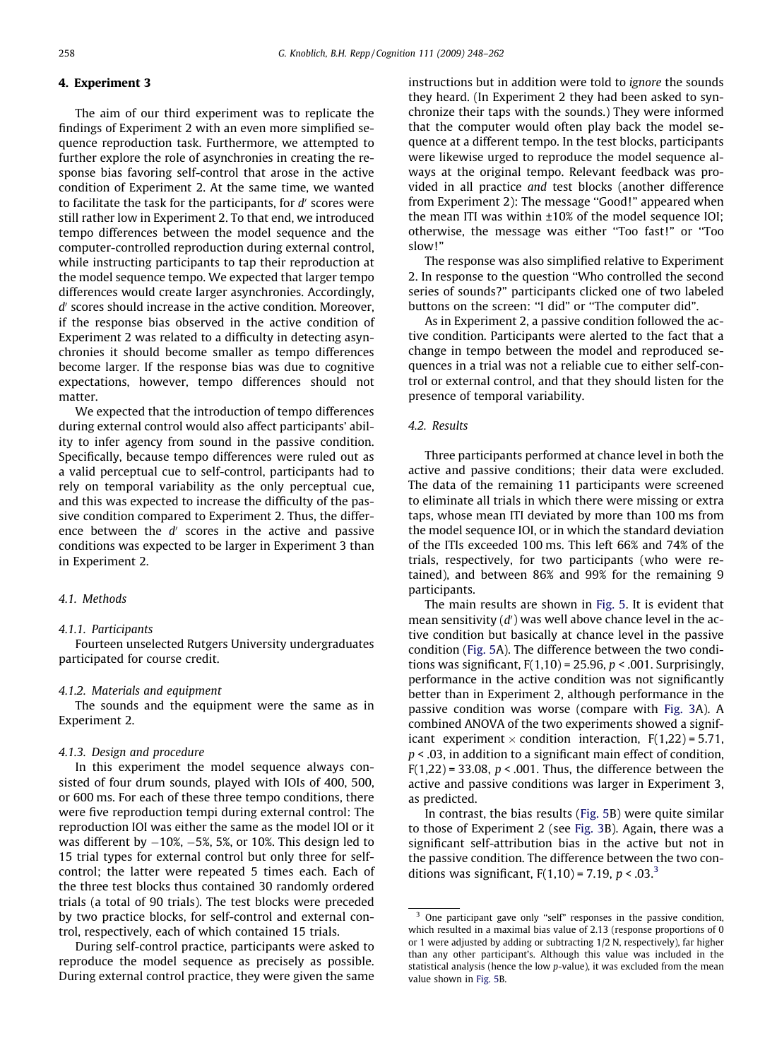# 4. Experiment 3

The aim of our third experiment was to replicate the findings of Experiment 2 with an even more simplified sequence reproduction task. Furthermore, we attempted to further explore the role of asynchronies in creating the response bias favoring self-control that arose in the active condition of Experiment 2. At the same time, we wanted to facilitate the task for the participants, for  $d'$  scores were still rather low in Experiment 2. To that end, we introduced tempo differences between the model sequence and the computer-controlled reproduction during external control, while instructing participants to tap their reproduction at the model sequence tempo. We expected that larger tempo differences would create larger asynchronies. Accordingly,  $d'$  scores should increase in the active condition. Moreover, if the response bias observed in the active condition of Experiment 2 was related to a difficulty in detecting asynchronies it should become smaller as tempo differences become larger. If the response bias was due to cognitive expectations, however, tempo differences should not matter.

We expected that the introduction of tempo differences during external control would also affect participants' ability to infer agency from sound in the passive condition. Specifically, because tempo differences were ruled out as a valid perceptual cue to self-control, participants had to rely on temporal variability as the only perceptual cue, and this was expected to increase the difficulty of the passive condition compared to Experiment 2. Thus, the difference between the  $d'$  scores in the active and passive conditions was expected to be larger in Experiment 3 than in Experiment 2.

# 4.1. Methods

# 4.1.1. Participants

Fourteen unselected Rutgers University undergraduates participated for course credit.

#### 4.1.2. Materials and equipment

The sounds and the equipment were the same as in Experiment 2.

# 4.1.3. Design and procedure

In this experiment the model sequence always consisted of four drum sounds, played with IOIs of 400, 500, or 600 ms. For each of these three tempo conditions, there were five reproduction tempi during external control: The reproduction IOI was either the same as the model IOI or it was different by  $-10\%$ ,  $-5\%$ , 5%, or 10%. This design led to 15 trial types for external control but only three for selfcontrol; the latter were repeated 5 times each. Each of the three test blocks thus contained 30 randomly ordered trials (a total of 90 trials). The test blocks were preceded by two practice blocks, for self-control and external control, respectively, each of which contained 15 trials.

During self-control practice, participants were asked to reproduce the model sequence as precisely as possible. During external control practice, they were given the same instructions but in addition were told to ignore the sounds they heard. (In Experiment 2 they had been asked to synchronize their taps with the sounds.) They were informed that the computer would often play back the model sequence at a different tempo. In the test blocks, participants were likewise urged to reproduce the model sequence always at the original tempo. Relevant feedback was provided in all practice and test blocks (another difference from Experiment 2): The message ''Good!" appeared when the mean ITI was within ±10% of the model sequence IOI; otherwise, the message was either ''Too fast!" or ''Too slow!"

The response was also simplified relative to Experiment 2. In response to the question ''Who controlled the second series of sounds?" participants clicked one of two labeled buttons on the screen: ''I did" or ''The computer did".

As in Experiment 2, a passive condition followed the active condition. Participants were alerted to the fact that a change in tempo between the model and reproduced sequences in a trial was not a reliable cue to either self-control or external control, and that they should listen for the presence of temporal variability.

# 4.2. Results

Three participants performed at chance level in both the active and passive conditions; their data were excluded. The data of the remaining 11 participants were screened to eliminate all trials in which there were missing or extra taps, whose mean ITI deviated by more than 100 ms from the model sequence IOI, or in which the standard deviation of the ITIs exceeded 100 ms. This left 66% and 74% of the trials, respectively, for two participants (who were retained), and between 86% and 99% for the remaining 9 participants.

The main results are shown in [Fig. 5.](#page-11-0) It is evident that mean sensitivity  $(d')$  was well above chance level in the active condition but basically at chance level in the passive condition ([Fig. 5A](#page-11-0)). The difference between the two conditions was significant,  $F(1,10) = 25.96$ ,  $p < .001$ . Surprisingly, performance in the active condition was not significantly better than in Experiment 2, although performance in the passive condition was worse (compare with [Fig. 3A](#page-8-0)). A combined ANOVA of the two experiments showed a significant experiment  $\times$  condition interaction,  $F(1,22) = 5.71$ ,  $p$  < .03, in addition to a significant main effect of condition,  $F(1,22) = 33.08$ ,  $p < .001$ . Thus, the difference between the active and passive conditions was larger in Experiment 3, as predicted.

In contrast, the bias results ([Fig. 5](#page-11-0)B) were quite similar to those of Experiment 2 (see [Fig. 3B](#page-8-0)). Again, there was a significant self-attribution bias in the active but not in the passive condition. The difference between the two conditions was significant,  $F(1,10) = 7.19$ ,  $p < .03<sup>3</sup>$ 

<sup>3</sup> One participant gave only ''self" responses in the passive condition, which resulted in a maximal bias value of 2.13 (response proportions of 0 or 1 were adjusted by adding or subtracting 1/2 N, respectively), far higher than any other participant's. Although this value was included in the statistical analysis (hence the low  $p$ -value), it was excluded from the mean value shown in [Fig. 5B](#page-11-0).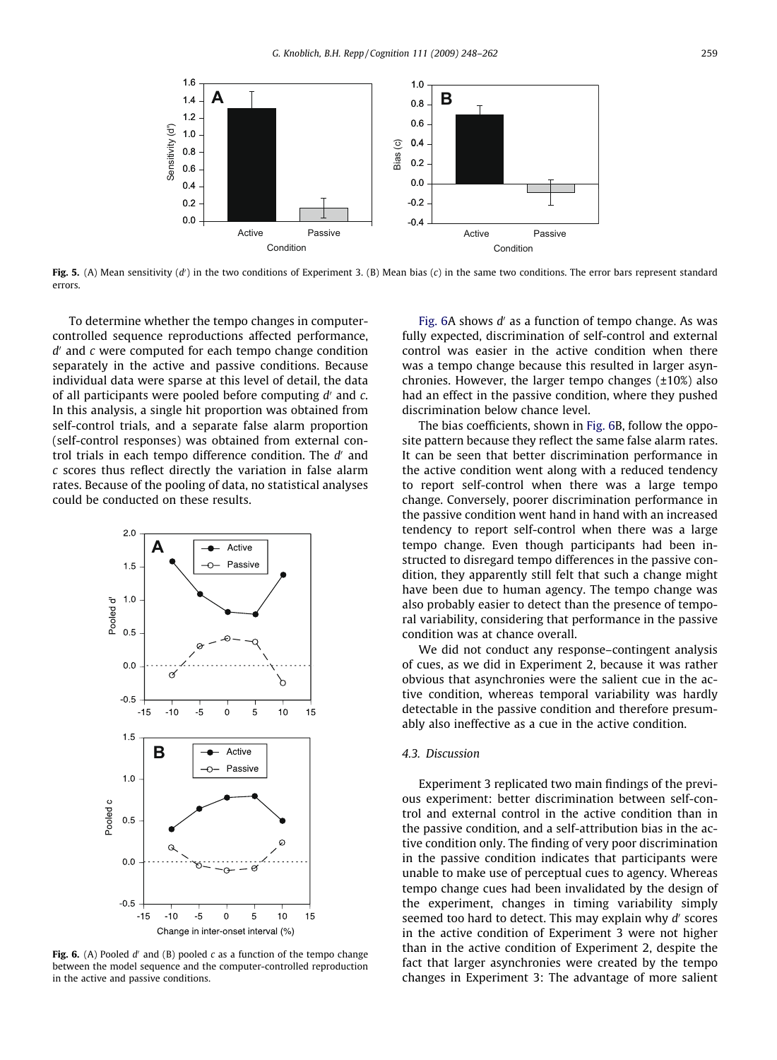<span id="page-11-0"></span>

**Fig. 5.** (A) Mean sensitivity (d') in the two conditions of Experiment 3. (B) Mean bias (c) in the same two conditions. The error bars represent standard errors.

To determine whether the tempo changes in computercontrolled sequence reproductions affected performance,  $d'$  and  $c$  were computed for each tempo change condition separately in the active and passive conditions. Because individual data were sparse at this level of detail, the data of all participants were pooled before computing  $d'$  and c. In this analysis, a single hit proportion was obtained from self-control trials, and a separate false alarm proportion (self-control responses) was obtained from external control trials in each tempo difference condition. The  $d'$  and c scores thus reflect directly the variation in false alarm rates. Because of the pooling of data, no statistical analyses could be conducted on these results.



Fig. 6. (A) Pooled d' and (B) pooled c as a function of the tempo change between the model sequence and the computer-controlled reproduction in the active and passive conditions.

Fig. 6A shows  $d'$  as a function of tempo change. As was fully expected, discrimination of self-control and external control was easier in the active condition when there was a tempo change because this resulted in larger asynchronies. However, the larger tempo changes  $(\pm 10%)$  also had an effect in the passive condition, where they pushed discrimination below chance level.

The bias coefficients, shown in Fig. 6B, follow the opposite pattern because they reflect the same false alarm rates. It can be seen that better discrimination performance in the active condition went along with a reduced tendency to report self-control when there was a large tempo change. Conversely, poorer discrimination performance in the passive condition went hand in hand with an increased tendency to report self-control when there was a large tempo change. Even though participants had been instructed to disregard tempo differences in the passive condition, they apparently still felt that such a change might have been due to human agency. The tempo change was also probably easier to detect than the presence of temporal variability, considering that performance in the passive condition was at chance overall.

We did not conduct any response–contingent analysis of cues, as we did in Experiment 2, because it was rather obvious that asynchronies were the salient cue in the active condition, whereas temporal variability was hardly detectable in the passive condition and therefore presumably also ineffective as a cue in the active condition.

# 4.3. Discussion

Experiment 3 replicated two main findings of the previous experiment: better discrimination between self-control and external control in the active condition than in the passive condition, and a self-attribution bias in the active condition only. The finding of very poor discrimination in the passive condition indicates that participants were unable to make use of perceptual cues to agency. Whereas tempo change cues had been invalidated by the design of the experiment, changes in timing variability simply seemed too hard to detect. This may explain why  $d'$  scores in the active condition of Experiment 3 were not higher than in the active condition of Experiment 2, despite the fact that larger asynchronies were created by the tempo changes in Experiment 3: The advantage of more salient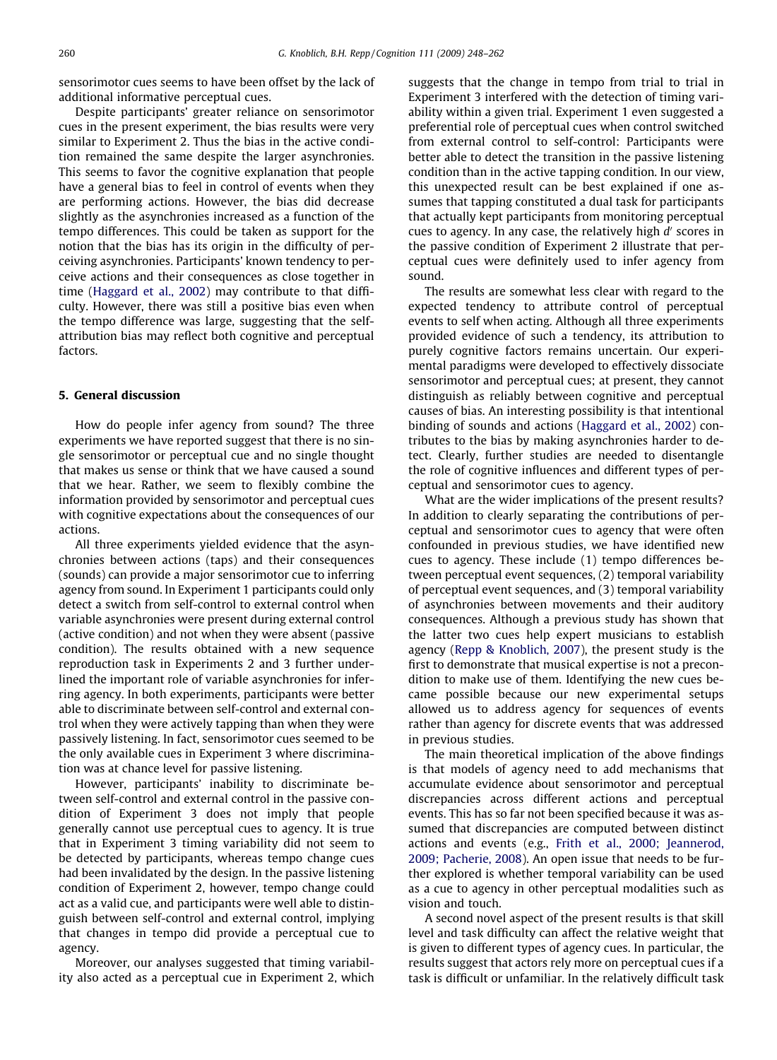sensorimotor cues seems to have been offset by the lack of additional informative perceptual cues.

Despite participants' greater reliance on sensorimotor cues in the present experiment, the bias results were very similar to Experiment 2. Thus the bias in the active condition remained the same despite the larger asynchronies. This seems to favor the cognitive explanation that people have a general bias to feel in control of events when they are performing actions. However, the bias did decrease slightly as the asynchronies increased as a function of the tempo differences. This could be taken as support for the notion that the bias has its origin in the difficulty of perceiving asynchronies. Participants' known tendency to perceive actions and their consequences as close together in time [\(Haggard et al., 2002](#page-14-0)) may contribute to that difficulty. However, there was still a positive bias even when the tempo difference was large, suggesting that the selfattribution bias may reflect both cognitive and perceptual factors.

# 5. General discussion

How do people infer agency from sound? The three experiments we have reported suggest that there is no single sensorimotor or perceptual cue and no single thought that makes us sense or think that we have caused a sound that we hear. Rather, we seem to flexibly combine the information provided by sensorimotor and perceptual cues with cognitive expectations about the consequences of our actions.

All three experiments yielded evidence that the asynchronies between actions (taps) and their consequences (sounds) can provide a major sensorimotor cue to inferring agency from sound. In Experiment 1 participants could only detect a switch from self-control to external control when variable asynchronies were present during external control (active condition) and not when they were absent (passive condition). The results obtained with a new sequence reproduction task in Experiments 2 and 3 further underlined the important role of variable asynchronies for inferring agency. In both experiments, participants were better able to discriminate between self-control and external control when they were actively tapping than when they were passively listening. In fact, sensorimotor cues seemed to be the only available cues in Experiment 3 where discrimination was at chance level for passive listening.

However, participants' inability to discriminate between self-control and external control in the passive condition of Experiment 3 does not imply that people generally cannot use perceptual cues to agency. It is true that in Experiment 3 timing variability did not seem to be detected by participants, whereas tempo change cues had been invalidated by the design. In the passive listening condition of Experiment 2, however, tempo change could act as a valid cue, and participants were well able to distinguish between self-control and external control, implying that changes in tempo did provide a perceptual cue to agency.

Moreover, our analyses suggested that timing variability also acted as a perceptual cue in Experiment 2, which

suggests that the change in tempo from trial to trial in Experiment 3 interfered with the detection of timing variability within a given trial. Experiment 1 even suggested a preferential role of perceptual cues when control switched from external control to self-control: Participants were better able to detect the transition in the passive listening condition than in the active tapping condition. In our view, this unexpected result can be best explained if one assumes that tapping constituted a dual task for participants that actually kept participants from monitoring perceptual cues to agency. In any case, the relatively high  $d'$  scores in the passive condition of Experiment 2 illustrate that perceptual cues were definitely used to infer agency from sound.

The results are somewhat less clear with regard to the expected tendency to attribute control of perceptual events to self when acting. Although all three experiments provided evidence of such a tendency, its attribution to purely cognitive factors remains uncertain. Our experimental paradigms were developed to effectively dissociate sensorimotor and perceptual cues; at present, they cannot distinguish as reliably between cognitive and perceptual causes of bias. An interesting possibility is that intentional binding of sounds and actions ([Haggard et al., 2002\)](#page-14-0) contributes to the bias by making asynchronies harder to detect. Clearly, further studies are needed to disentangle the role of cognitive influences and different types of perceptual and sensorimotor cues to agency.

What are the wider implications of the present results? In addition to clearly separating the contributions of perceptual and sensorimotor cues to agency that were often confounded in previous studies, we have identified new cues to agency. These include (1) tempo differences between perceptual event sequences, (2) temporal variability of perceptual event sequences, and (3) temporal variability of asynchronies between movements and their auditory consequences. Although a previous study has shown that the latter two cues help expert musicians to establish agency ([Repp & Knoblich, 2007\)](#page-14-0), the present study is the first to demonstrate that musical expertise is not a precondition to make use of them. Identifying the new cues became possible because our new experimental setups allowed us to address agency for sequences of events rather than agency for discrete events that was addressed in previous studies.

The main theoretical implication of the above findings is that models of agency need to add mechanisms that accumulate evidence about sensorimotor and perceptual discrepancies across different actions and perceptual events. This has so far not been specified because it was assumed that discrepancies are computed between distinct actions and events (e.g., [Frith et al., 2000; Jeannerod,](#page-14-0) [2009; Pacherie, 2008\)](#page-14-0). An open issue that needs to be further explored is whether temporal variability can be used as a cue to agency in other perceptual modalities such as vision and touch.

A second novel aspect of the present results is that skill level and task difficulty can affect the relative weight that is given to different types of agency cues. In particular, the results suggest that actors rely more on perceptual cues if a task is difficult or unfamiliar. In the relatively difficult task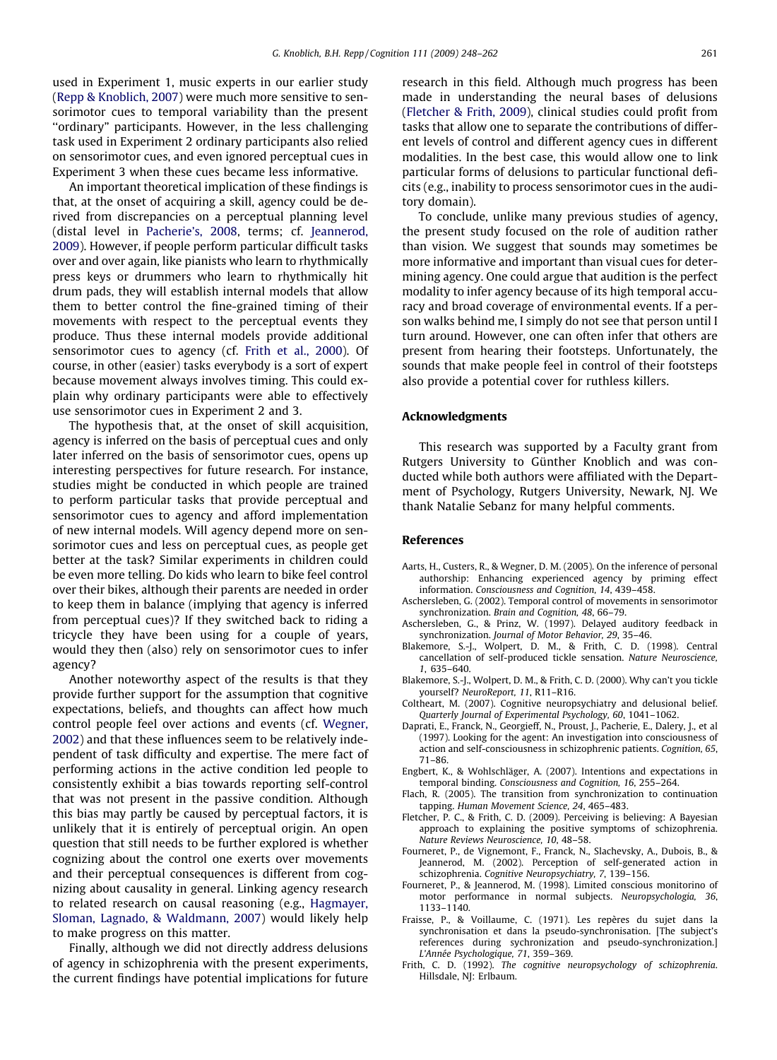<span id="page-13-0"></span>used in Experiment 1, music experts in our earlier study ([Repp & Knoblich, 2007](#page-14-0)) were much more sensitive to sensorimotor cues to temporal variability than the present ''ordinary" participants. However, in the less challenging task used in Experiment 2 ordinary participants also relied on sensorimotor cues, and even ignored perceptual cues in Experiment 3 when these cues became less informative.

An important theoretical implication of these findings is that, at the onset of acquiring a skill, agency could be derived from discrepancies on a perceptual planning level (distal level in [Pacherie's, 2008](#page-14-0), terms; cf. [Jeannerod,](#page-14-0) [2009\)](#page-14-0). However, if people perform particular difficult tasks over and over again, like pianists who learn to rhythmically press keys or drummers who learn to rhythmically hit drum pads, they will establish internal models that allow them to better control the fine-grained timing of their movements with respect to the perceptual events they produce. Thus these internal models provide additional sensorimotor cues to agency (cf. [Frith et al., 2000\)](#page-14-0). Of course, in other (easier) tasks everybody is a sort of expert because movement always involves timing. This could explain why ordinary participants were able to effectively use sensorimotor cues in Experiment 2 and 3.

The hypothesis that, at the onset of skill acquisition, agency is inferred on the basis of perceptual cues and only later inferred on the basis of sensorimotor cues, opens up interesting perspectives for future research. For instance, studies might be conducted in which people are trained to perform particular tasks that provide perceptual and sensorimotor cues to agency and afford implementation of new internal models. Will agency depend more on sensorimotor cues and less on perceptual cues, as people get better at the task? Similar experiments in children could be even more telling. Do kids who learn to bike feel control over their bikes, although their parents are needed in order to keep them in balance (implying that agency is inferred from perceptual cues)? If they switched back to riding a tricycle they have been using for a couple of years, would they then (also) rely on sensorimotor cues to infer agency?

Another noteworthy aspect of the results is that they provide further support for the assumption that cognitive expectations, beliefs, and thoughts can affect how much control people feel over actions and events (cf. [Wegner,](#page-14-0) [2002\)](#page-14-0) and that these influences seem to be relatively independent of task difficulty and expertise. The mere fact of performing actions in the active condition led people to consistently exhibit a bias towards reporting self-control that was not present in the passive condition. Although this bias may partly be caused by perceptual factors, it is unlikely that it is entirely of perceptual origin. An open question that still needs to be further explored is whether cognizing about the control one exerts over movements and their perceptual consequences is different from cognizing about causality in general. Linking agency research to related research on causal reasoning (e.g., [Hagmayer,](#page-14-0) [Sloman, Lagnado, & Waldmann, 2007\)](#page-14-0) would likely help to make progress on this matter.

Finally, although we did not directly address delusions of agency in schizophrenia with the present experiments, the current findings have potential implications for future research in this field. Although much progress has been made in understanding the neural bases of delusions (Fletcher & Frith, 2009), clinical studies could profit from tasks that allow one to separate the contributions of different levels of control and different agency cues in different modalities. In the best case, this would allow one to link particular forms of delusions to particular functional deficits (e.g., inability to process sensorimotor cues in the auditory domain).

To conclude, unlike many previous studies of agency, the present study focused on the role of audition rather than vision. We suggest that sounds may sometimes be more informative and important than visual cues for determining agency. One could argue that audition is the perfect modality to infer agency because of its high temporal accuracy and broad coverage of environmental events. If a person walks behind me, I simply do not see that person until I turn around. However, one can often infer that others are present from hearing their footsteps. Unfortunately, the sounds that make people feel in control of their footsteps also provide a potential cover for ruthless killers.

# Acknowledgments

This research was supported by a Faculty grant from Rutgers University to Günther Knoblich and was conducted while both authors were affiliated with the Department of Psychology, Rutgers University, Newark, NJ. We thank Natalie Sebanz for many helpful comments.

#### References

- Aarts, H., Custers, R., & Wegner, D. M. (2005). On the inference of personal authorship: Enhancing experienced agency by priming effect information. Consciousness and Cognition, 14, 439–458.
- Aschersleben, G. (2002). Temporal control of movements in sensorimotor synchronization. Brain and Cognition, 48, 66–79.
- Aschersleben, G., & Prinz, W. (1997). Delayed auditory feedback in synchronization. Journal of Motor Behavior, 29, 35–46.
- Blakemore, S.-J., Wolpert, D. M., & Frith, C. D. (1998). Central cancellation of self-produced tickle sensation. Nature Neuroscience, 1, 635–640.
- Blakemore, S.-J., Wolpert, D. M., & Frith, C. D. (2000). Why can't you tickle yourself? NeuroReport, 11, R11–R16.
- Coltheart, M. (2007). Cognitive neuropsychiatry and delusional belief. Quarterly Journal of Experimental Psychology, 60, 1041–1062.
- Daprati, E., Franck, N., Georgieff, N., Proust, J., Pacherie, E., Dalery, J., et al (1997). Looking for the agent: An investigation into consciousness of action and self-consciousness in schizophrenic patients. Cognition, 65, 71–86.
- Engbert, K., & Wohlschläger, A. (2007). Intentions and expectations in temporal binding. Consciousness and Cognition, 16, 255–264.
- Flach, R. (2005). The transition from synchronization to continuation tapping. Human Movement Science, 24, 465–483.
- Fletcher, P. C., & Frith, C. D. (2009). Perceiving is believing: A Bayesian approach to explaining the positive symptoms of schizophrenia. Nature Reviews Neuroscience, 10, 48–58.
- Fourneret, P., de Vignemont, F., Franck, N., Slachevsky, A., Dubois, B., & Jeannerod, M. (2002). Perception of self-generated action in schizophrenia. Cognitive Neuropsychiatry, 7, 139–156.
- Fourneret, P., & Jeannerod, M. (1998). Limited conscious monitorino of motor performance in normal subjects. Neuropsychologia, 36, 1133–1140.
- Fraisse, P., & Voillaume, C. (1971). Les repères du sujet dans la synchronisation et dans la pseudo-synchronisation. [The subject's references during sychronization and pseudo-synchronization.] L'Année Psychologique, 71, 359–369.
- Frith, C. D. (1992). The cognitive neuropsychology of schizophrenia. Hillsdale, NJ: Erlbaum.